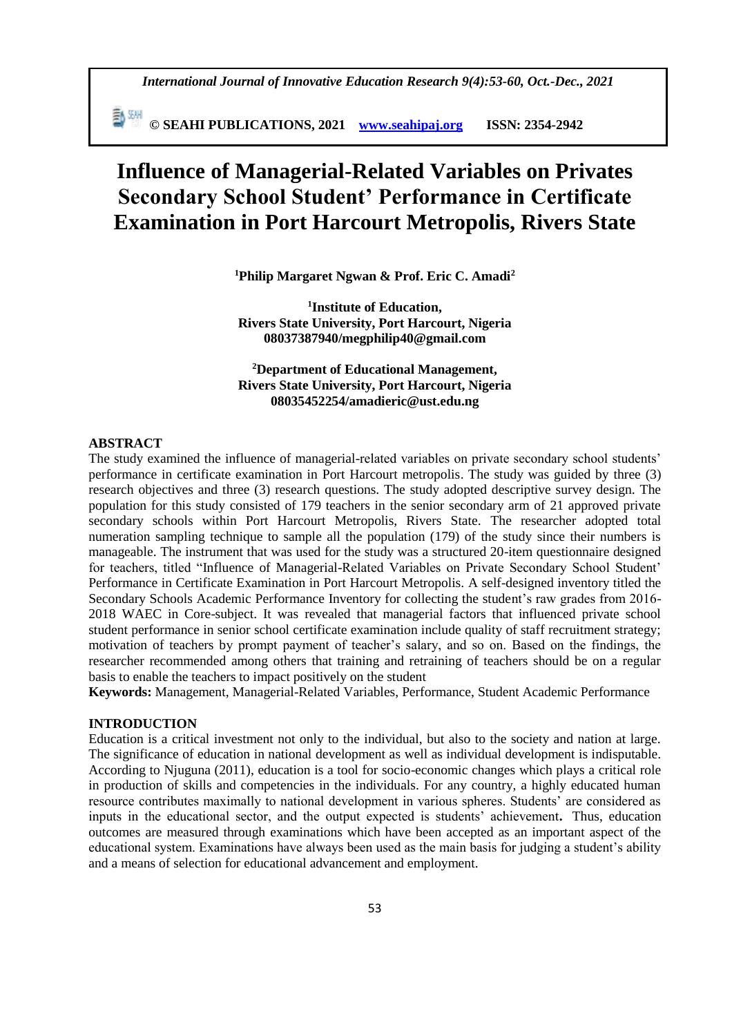**© SEAHI PUBLICATIONS, 2021 [www.seahipaj.org](http://www.seahipaj.org/) ISSN: 2354-2942**

# **Influence of Managerial-Related Variables on Privates Secondary School Student' Performance in Certificate Examination in Port Harcourt Metropolis, Rivers State**

**<sup>1</sup>Philip Margaret Ngwan & Prof. Eric C. Amadi<sup>2</sup>**

**1 Institute of Education, Rivers State University, Port Harcourt, Nigeria 08037387940[/megphilip40@gmail.com](mailto:megphilip40@gmail.com)**

**<sup>2</sup>Department of Educational Management, Rivers State University, Port Harcourt, Nigeria 08035452254[/amadieric@ust.edu.ng](mailto:amadieric@ust.edu.ng)**

#### **ABSTRACT**

The study examined the influence of managerial-related variables on private secondary school students' performance in certificate examination in Port Harcourt metropolis. The study was guided by three (3) research objectives and three (3) research questions. The study adopted descriptive survey design. The population for this study consisted of 179 teachers in the senior secondary arm of 21 approved private secondary schools within Port Harcourt Metropolis, Rivers State. The researcher adopted total numeration sampling technique to sample all the population (179) of the study since their numbers is manageable. The instrument that was used for the study was a structured 20-item questionnaire designed for teachers, titled "Influence of Managerial-Related Variables on Private Secondary School Student' Performance in Certificate Examination in Port Harcourt Metropolis. A self-designed inventory titled the Secondary Schools Academic Performance Inventory for collecting the student's raw grades from 2016- 2018 WAEC in Core-subject. It was revealed that managerial factors that influenced private school student performance in senior school certificate examination include quality of staff recruitment strategy; motivation of teachers by prompt payment of teacher's salary, and so on. Based on the findings, the researcher recommended among others that training and retraining of teachers should be on a regular basis to enable the teachers to impact positively on the student

**Keywords:** Management, Managerial-Related Variables, Performance, Student Academic Performance

## **INTRODUCTION**

Education is a critical investment not only to the individual, but also to the society and nation at large. The significance of education in national development as well as individual development is indisputable. According to Njuguna (2011), education is a tool for socio-economic changes which plays a critical role in production of skills and competencies in the individuals. For any country, a highly educated human resource contributes maximally to national development in various spheres. Students' are considered as inputs in the educational sector, and the output expected is students' achievement**.** Thus, education outcomes are measured through examinations which have been accepted as an important aspect of the educational system. Examinations have always been used as the main basis for judging a student's ability and a means of selection for educational advancement and employment.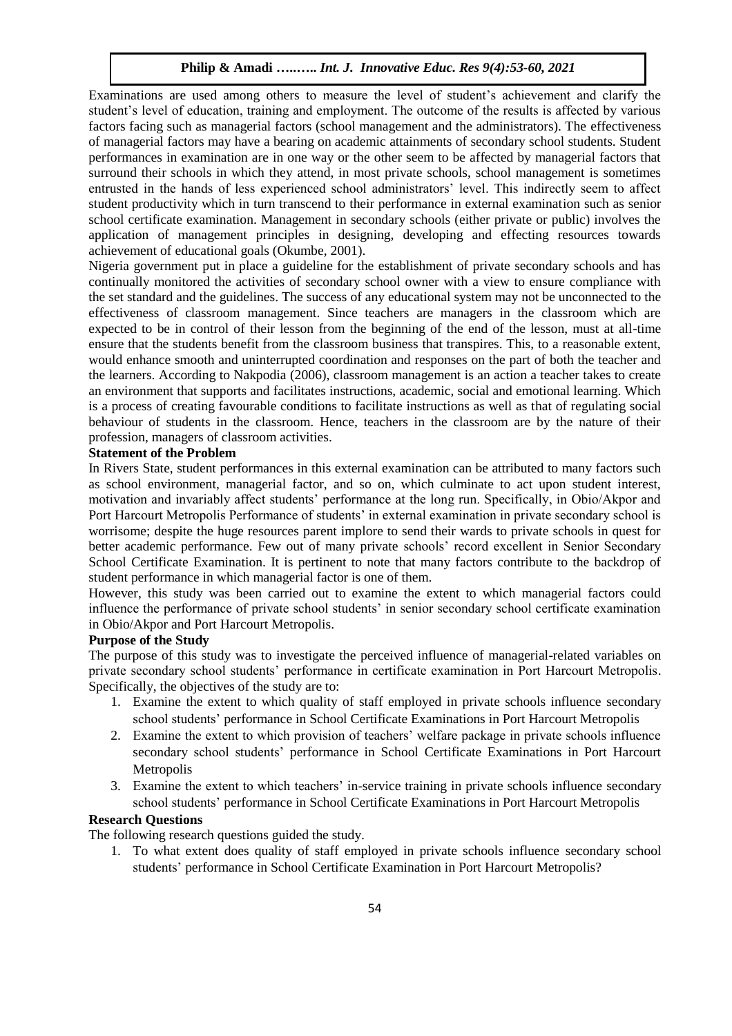Examinations are used among others to measure the level of student's achievement and clarify the student's level of education, training and employment. The outcome of the results is affected by various factors facing such as managerial factors (school management and the administrators). The effectiveness of managerial factors may have a bearing on academic attainments of secondary school students. Student performances in examination are in one way or the other seem to be affected by managerial factors that surround their schools in which they attend, in most private schools, school management is sometimes entrusted in the hands of less experienced school administrators' level. This indirectly seem to affect student productivity which in turn transcend to their performance in external examination such as senior school certificate examination. Management in secondary schools (either private or public) involves the application of management principles in designing, developing and effecting resources towards achievement of educational goals (Okumbe, 2001).

Nigeria government put in place a guideline for the establishment of private secondary schools and has continually monitored the activities of secondary school owner with a view to ensure compliance with the set standard and the guidelines. The success of any educational system may not be unconnected to the effectiveness of classroom management. Since teachers are managers in the classroom which are expected to be in control of their lesson from the beginning of the end of the lesson, must at all-time ensure that the students benefit from the classroom business that transpires. This, to a reasonable extent, would enhance smooth and uninterrupted coordination and responses on the part of both the teacher and the learners. According to Nakpodia (2006), classroom management is an action a teacher takes to create an environment that supports and facilitates instructions, academic, social and emotional learning. Which is a process of creating favourable conditions to facilitate instructions as well as that of regulating social behaviour of students in the classroom. Hence, teachers in the classroom are by the nature of their profession, managers of classroom activities.

# **Statement of the Problem**

In Rivers State, student performances in this external examination can be attributed to many factors such as school environment, managerial factor, and so on, which culminate to act upon student interest, motivation and invariably affect students' performance at the long run. Specifically, in Obio/Akpor and Port Harcourt Metropolis Performance of students' in external examination in private secondary school is worrisome; despite the huge resources parent implore to send their wards to private schools in quest for better academic performance. Few out of many private schools' record excellent in Senior Secondary School Certificate Examination. It is pertinent to note that many factors contribute to the backdrop of student performance in which managerial factor is one of them.

However, this study was been carried out to examine the extent to which managerial factors could influence the performance of private school students' in senior secondary school certificate examination in Obio/Akpor and Port Harcourt Metropolis.

## **Purpose of the Study**

The purpose of this study was to investigate the perceived influence of managerial-related variables on private secondary school students' performance in certificate examination in Port Harcourt Metropolis. Specifically, the objectives of the study are to:

- 1. Examine the extent to which quality of staff employed in private schools influence secondary school students' performance in School Certificate Examinations in Port Harcourt Metropolis
- 2. Examine the extent to which provision of teachers' welfare package in private schools influence secondary school students' performance in School Certificate Examinations in Port Harcourt Metropolis
- 3. Examine the extent to which teachers' in-service training in private schools influence secondary school students' performance in School Certificate Examinations in Port Harcourt Metropolis

# **Research Questions**

The following research questions guided the study.

1. To what extent does quality of staff employed in private schools influence secondary school students' performance in School Certificate Examination in Port Harcourt Metropolis?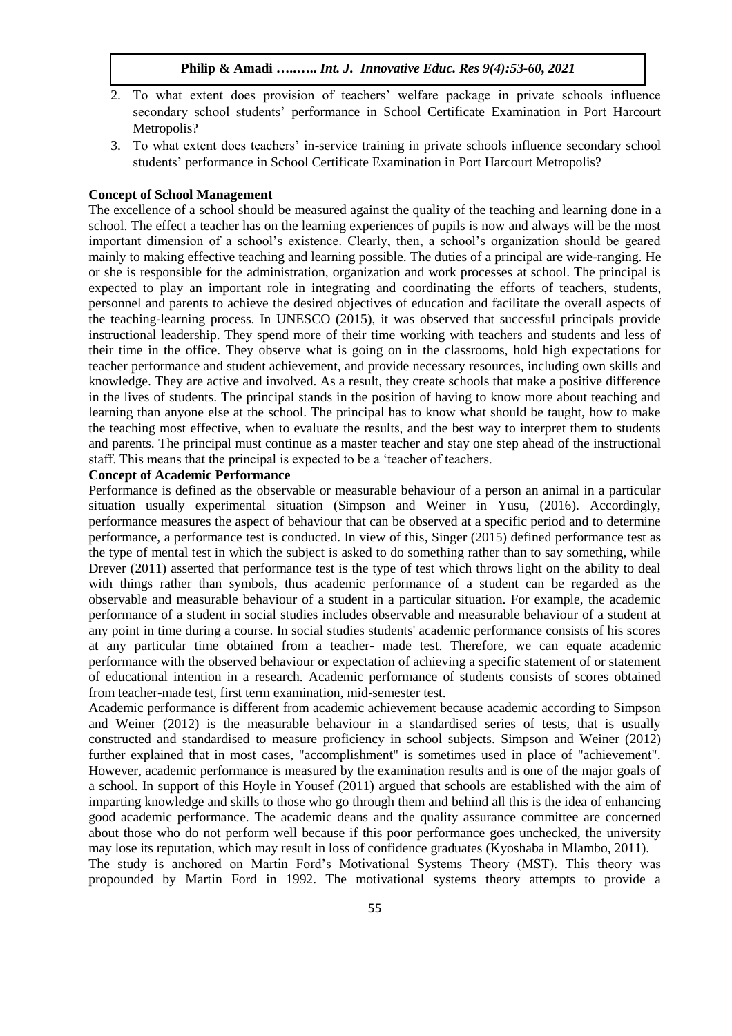- 2. To what extent does provision of teachers' welfare package in private schools influence secondary school students' performance in School Certificate Examination in Port Harcourt Metropolis?
- 3. To what extent does teachers' in-service training in private schools influence secondary school students' performance in School Certificate Examination in Port Harcourt Metropolis?

## **Concept of School Management**

The excellence of a school should be measured against the quality of the teaching and learning done in a school. The effect a teacher has on the learning experiences of pupils is now and always will be the most important dimension of a school's existence. Clearly, then, a school's organization should be geared mainly to making effective teaching and learning possible. The duties of a principal are wide-ranging. He or she is responsible for the administration, organization and work processes at school. The principal is expected to play an important role in integrating and coordinating the efforts of teachers, students, personnel and parents to achieve the desired objectives of education and facilitate the overall aspects of the teaching-learning process. In UNESCO (2015), it was observed that successful principals provide instructional leadership. They spend more of their time working with teachers and students and less of their time in the office. They observe what is going on in the classrooms, hold high expectations for teacher performance and student achievement, and provide necessary resources, including own skills and knowledge. They are active and involved. As a result, they create schools that make a positive difference in the lives of students. The principal stands in the position of having to know more about teaching and learning than anyone else at the school. The principal has to know what should be taught, how to make the teaching most effective, when to evaluate the results, and the best way to interpret them to students and parents. The principal must continue as a master teacher and stay one step ahead of the instructional staff. This means that the principal is expected to be a 'teacher of teachers.

## **Concept of Academic Performance**

Performance is defined as the observable or measurable behaviour of a person an animal in a particular situation usually experimental situation (Simpson and Weiner in Yusu, (2016). Accordingly, performance measures the aspect of behaviour that can be observed at a specific period and to determine performance, a performance test is conducted. In view of this, Singer (2015) defined performance test as the type of mental test in which the subject is asked to do something rather than to say something, while Drever (2011) asserted that performance test is the type of test which throws light on the ability to deal with things rather than symbols, thus academic performance of a student can be regarded as the observable and measurable behaviour of a student in a particular situation. For example, the academic performance of a student in social studies includes observable and measurable behaviour of a student at any point in time during a course. In social studies students' academic performance consists of his scores at any particular time obtained from a teacher- made test. Therefore, we can equate academic performance with the observed behaviour or expectation of achieving a specific statement of or statement of educational intention in a research. Academic performance of students consists of scores obtained from teacher-made test, first term examination, mid-semester test.

Academic performance is different from academic achievement because academic according to Simpson and Weiner (2012) is the measurable behaviour in a standardised series of tests, that is usually constructed and standardised to measure proficiency in school subjects. Simpson and Weiner (2012) further explained that in most cases, "accomplishment" is sometimes used in place of "achievement". However, academic performance is measured by the examination results and is one of the major goals of a school. In support of this Hoyle in Yousef (2011) argued that schools are established with the aim of imparting knowledge and skills to those who go through them and behind all this is the idea of enhancing good academic performance. The academic deans and the quality assurance committee are concerned about those who do not perform well because if this poor performance goes unchecked, the university may lose its reputation, which may result in loss of confidence graduates (Kyoshaba in Mlambo, 2011).

The study is anchored on Martin Ford's Motivational Systems Theory (MST). This theory was propounded by Martin Ford in 1992. The motivational systems theory attempts to provide a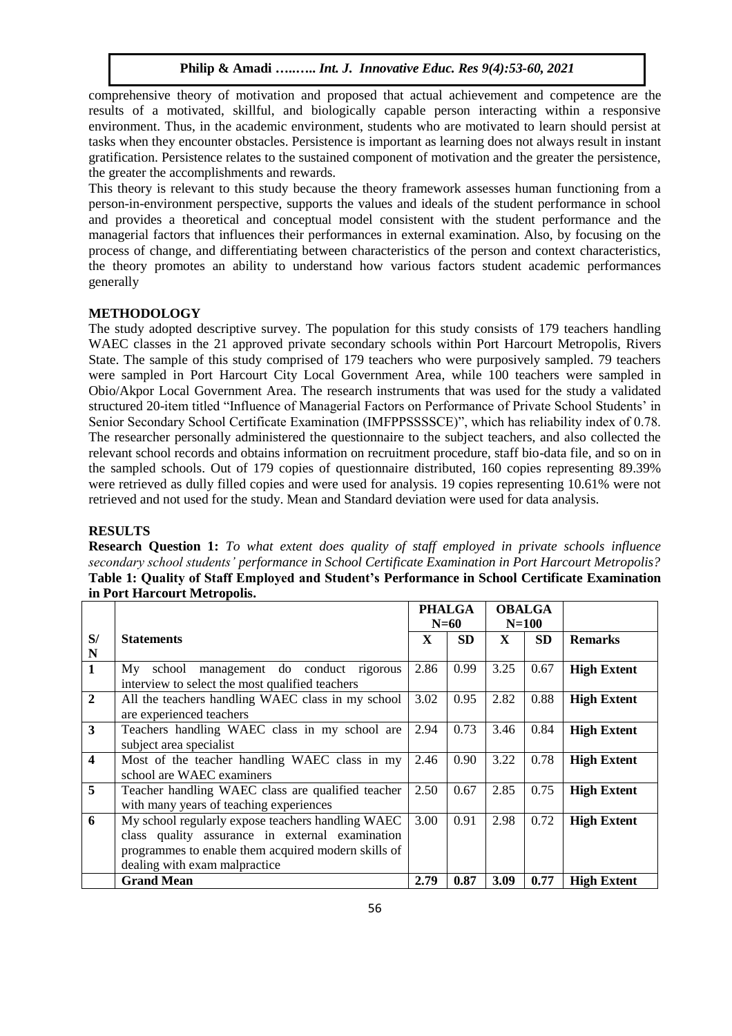comprehensive theory of motivation and proposed that actual achievement and competence are the results of a motivated, skillful, and biologically capable person interacting within a responsive environment. Thus, in the academic environment, students who are motivated to learn should persist at tasks when they encounter obstacles. Persistence is important as learning does not always result in instant gratification. Persistence relates to the sustained component of motivation and the greater the persistence, the greater the accomplishments and rewards.

This theory is relevant to this study because the theory framework assesses human functioning from a person-in-environment perspective, supports the values and ideals of the student performance in school and provides a theoretical and conceptual model consistent with the student performance and the managerial factors that influences their performances in external examination. Also, by focusing on the process of change, and differentiating between characteristics of the person and context characteristics, the theory promotes an ability to understand how various factors student academic performances generally

#### **METHODOLOGY**

The study adopted descriptive survey. The population for this study consists of 179 teachers handling WAEC classes in the 21 approved private secondary schools within Port Harcourt Metropolis, Rivers State. The sample of this study comprised of 179 teachers who were purposively sampled. 79 teachers were sampled in Port Harcourt City Local Government Area, while 100 teachers were sampled in Obio/Akpor Local Government Area. The research instruments that was used for the study a validated structured 20-item titled "Influence of Managerial Factors on Performance of Private School Students' in Senior Secondary School Certificate Examination (IMFPPSSSSCE)", which has reliability index of 0.78. The researcher personally administered the questionnaire to the subject teachers, and also collected the relevant school records and obtains information on recruitment procedure, staff bio-data file, and so on in the sampled schools. Out of 179 copies of questionnaire distributed, 160 copies representing 89.39% were retrieved as dully filled copies and were used for analysis. 19 copies representing 10.61% were not retrieved and not used for the study. Mean and Standard deviation were used for data analysis.

### **RESULTS**

**Research Question 1:** *To what extent does quality of staff employed in private schools influence secondary school students' performance in School Certificate Examination in Port Harcourt Metropolis?* **Table 1: Quality of Staff Employed and Student's Performance in School Certificate Examination in Port Harcourt Metropolis.** 

|                         |                                                                                                                                                                                              | <b>PHALGA</b><br>$N=60$ |           | <b>OBALGA</b><br>$N=100$ |           |                    |
|-------------------------|----------------------------------------------------------------------------------------------------------------------------------------------------------------------------------------------|-------------------------|-----------|--------------------------|-----------|--------------------|
| S/<br>N                 | <b>Statements</b>                                                                                                                                                                            | $\mathbf{x}$            | <b>SD</b> | $\mathbf{X}$             | <b>SD</b> | <b>Remarks</b>     |
| $\mathbf{1}$            | management do conduct rigorous<br>school<br>Mv<br>interview to select the most qualified teachers                                                                                            | 2.86                    | 0.99      | 3.25                     | 0.67      | <b>High Extent</b> |
| $\overline{2}$          | All the teachers handling WAEC class in my school<br>are experienced teachers                                                                                                                | 3.02                    | 0.95      | 2.82                     | 0.88      | <b>High Extent</b> |
| $\mathbf{3}$            | Teachers handling WAEC class in my school are<br>subject area specialist                                                                                                                     | 2.94                    | 0.73      | 3.46                     | 0.84      | <b>High Extent</b> |
| $\overline{\mathbf{4}}$ | Most of the teacher handling WAEC class in my<br>school are WAEC examiners                                                                                                                   | 2.46                    | 0.90      | 3.22                     | 0.78      | <b>High Extent</b> |
| 5                       | Teacher handling WAEC class are qualified teacher<br>with many years of teaching experiences                                                                                                 | 2.50                    | 0.67      | 2.85                     | 0.75      | <b>High Extent</b> |
| 6                       | My school regularly expose teachers handling WAEC<br>class quality assurance in external examination<br>programmes to enable them acquired modern skills of<br>dealing with exam malpractice | 3.00                    | 0.91      | 2.98                     | 0.72      | <b>High Extent</b> |
|                         | <b>Grand Mean</b>                                                                                                                                                                            | 2.79                    | 0.87      | 3.09                     | 0.77      | <b>High Extent</b> |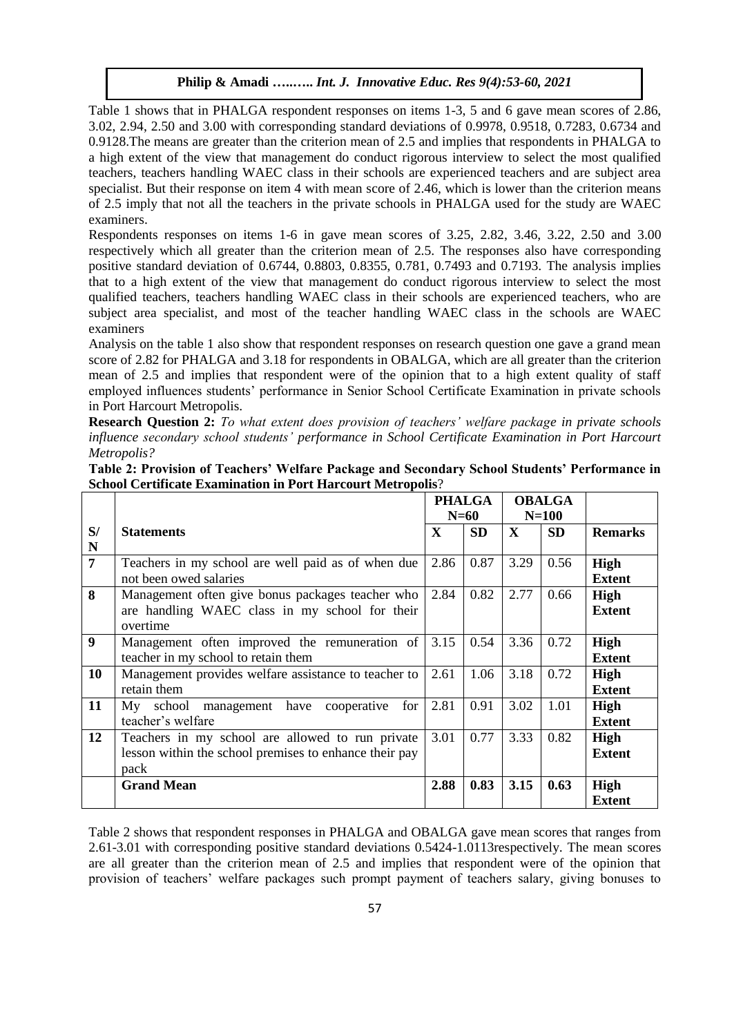Table 1 shows that in PHALGA respondent responses on items 1-3, 5 and 6 gave mean scores of 2.86, 3.02, 2.94, 2.50 and 3.00 with corresponding standard deviations of 0.9978, 0.9518, 0.7283, 0.6734 and 0.9128.The means are greater than the criterion mean of 2.5 and implies that respondents in PHALGA to a high extent of the view that management do conduct rigorous interview to select the most qualified teachers, teachers handling WAEC class in their schools are experienced teachers and are subject area specialist. But their response on item 4 with mean score of 2.46, which is lower than the criterion means of 2.5 imply that not all the teachers in the private schools in PHALGA used for the study are WAEC examiners.

Respondents responses on items 1-6 in gave mean scores of 3.25, 2.82, 3.46, 3.22, 2.50 and 3.00 respectively which all greater than the criterion mean of 2.5. The responses also have corresponding positive standard deviation of 0.6744, 0.8803, 0.8355, 0.781, 0.7493 and 0.7193. The analysis implies that to a high extent of the view that management do conduct rigorous interview to select the most qualified teachers, teachers handling WAEC class in their schools are experienced teachers, who are subject area specialist, and most of the teacher handling WAEC class in the schools are WAEC examiners

Analysis on the table 1 also show that respondent responses on research question one gave a grand mean score of 2.82 for PHALGA and 3.18 for respondents in OBALGA, which are all greater than the criterion mean of 2.5 and implies that respondent were of the opinion that to a high extent quality of staff employed influences students' performance in Senior School Certificate Examination in private schools in Port Harcourt Metropolis.

**Research Question 2:** *To what extent does provision of teachers' welfare package in private schools influence secondary school students' performance in School Certificate Examination in Port Harcourt Metropolis?*

| School Certificate Examination in Port Harcourt Metropolis? |                                                          |               |           |               |           |                |
|-------------------------------------------------------------|----------------------------------------------------------|---------------|-----------|---------------|-----------|----------------|
|                                                             |                                                          | <b>PHALGA</b> |           | <b>OBALGA</b> |           |                |
|                                                             |                                                          | $N=60$        |           | $N=100$       |           |                |
| S/                                                          | <b>Statements</b>                                        | X             | <b>SD</b> | $\mathbf{X}$  | <b>SD</b> | <b>Remarks</b> |
| $\overline{\mathbf{N}}$                                     |                                                          |               |           |               |           |                |
| $\overline{7}$                                              | Teachers in my school are well paid as of when due       | 2.86          | 0.87      | 3.29          | 0.56      | High           |
|                                                             | not been owed salaries                                   |               |           |               |           | <b>Extent</b>  |
| 8                                                           | Management often give bonus packages teacher who         | 2.84          | 0.82      | 2.77          | 0.66      | High           |
|                                                             | are handling WAEC class in my school for their           |               |           |               |           | <b>Extent</b>  |
|                                                             | overtime                                                 |               |           |               |           |                |
| $\boldsymbol{9}$                                            | Management often improved the remuneration of            | 3.15          | 0.54      | 3.36          | 0.72      | High           |
|                                                             | teacher in my school to retain them                      |               |           |               |           | <b>Extent</b>  |
| 10                                                          | Management provides welfare assistance to teacher to     | 2.61          | 1.06      | 3.18          | 0.72      | <b>High</b>    |
|                                                             | retain them                                              |               |           |               |           | <b>Extent</b>  |
| 11                                                          | Mv<br>school<br>for<br>have<br>cooperative<br>management | 2.81          | 0.91      | 3.02          | 1.01      | <b>High</b>    |

teacher's welfare

pack

**12** Teachers in my school are allowed to run private lesson within the school premises to enhance their pay

| Table 2: Provision of Teachers' Welfare Package and Secondary School Students' Performance in |  |
|-----------------------------------------------------------------------------------------------|--|
| <b>School Certificate Examination in Port Harcourt Metropolis?</b>                            |  |

Table 2 shows that respondent responses in PHALGA and OBALGA gave mean scores that ranges from 2.61-3.01 with corresponding positive standard deviations 0.5424-1.0113respectively. The mean scores are all greater than the criterion mean of 2.5 and implies that respondent were of the opinion that provision of teachers' welfare packages such prompt payment of teachers salary, giving bonuses to

**Grand Mean 2.88 0.83 3.15 0.63 High** 

**Extent**

**Extent**

**Extent**

3.01 0.77 3.33 0.82 **High**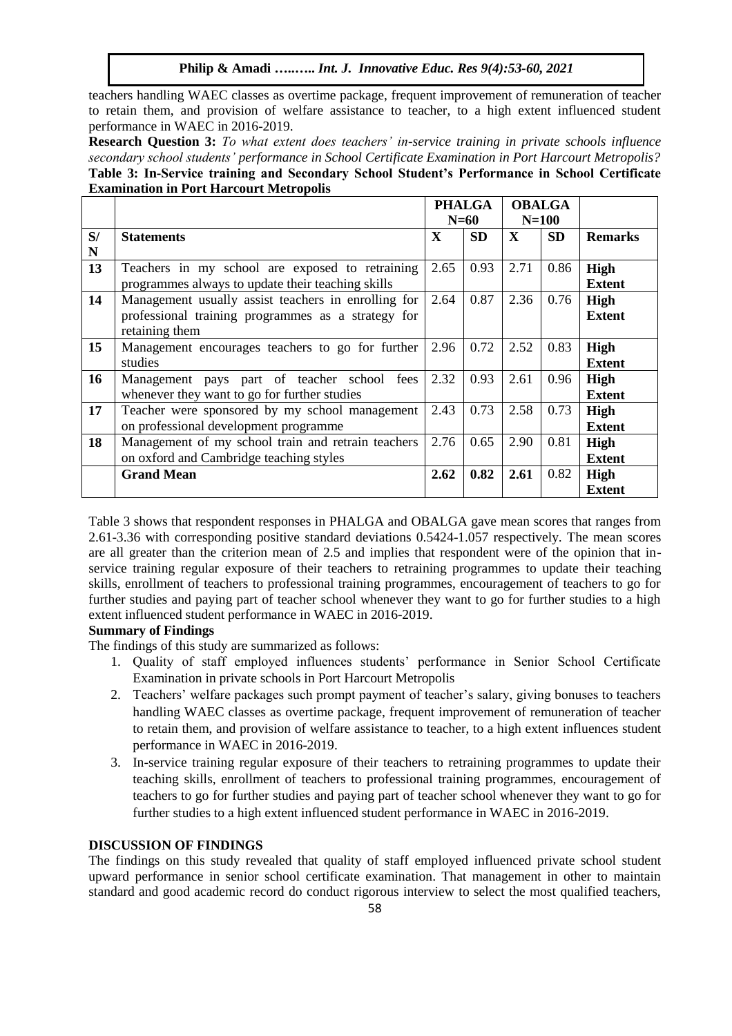teachers handling WAEC classes as overtime package, frequent improvement of remuneration of teacher to retain them, and provision of welfare assistance to teacher, to a high extent influenced student performance in WAEC in 2016-2019.

**Research Question 3:** *To what extent does teachers' in-service training in private schools influence secondary school students' performance in School Certificate Examination in Port Harcourt Metropolis?* **Table 3: In-Service training and Secondary School Student's Performance in School Certificate Examination in Port Harcourt Metropolis**

|    |                                                     | <b>PHALGA</b> |           | <b>OBALGA</b> |           |                |
|----|-----------------------------------------------------|---------------|-----------|---------------|-----------|----------------|
|    |                                                     | N=60          |           | $N=100$       |           |                |
| S/ | <b>Statements</b>                                   | X             | <b>SD</b> | $\mathbf{X}$  | <b>SD</b> | <b>Remarks</b> |
| N  |                                                     |               |           |               |           |                |
| 13 | Teachers in my school are exposed to retraining     | 2.65          | 0.93      | 2.71          | 0.86      | <b>High</b>    |
|    | programmes always to update their teaching skills   |               |           |               |           | <b>Extent</b>  |
| 14 | Management usually assist teachers in enrolling for | 2.64          | 0.87      | 2.36          | 0.76      | <b>High</b>    |
|    | professional training programmes as a strategy for  |               |           |               |           | <b>Extent</b>  |
|    | retaining them                                      |               |           |               |           |                |
| 15 | Management encourages teachers to go for further    | 2.96          | 0.72      | 2.52          | 0.83      | <b>High</b>    |
|    | studies                                             |               |           |               |           | <b>Extent</b>  |
| 16 | Management pays part of teacher school<br>fees      | 2.32          | 0.93      | 2.61          | 0.96      | <b>High</b>    |
|    | whenever they want to go for further studies        |               |           |               |           | <b>Extent</b>  |
| 17 | Teacher were sponsored by my school management      | 2.43          | 0.73      | 2.58          | 0.73      | <b>High</b>    |
|    | on professional development programme               |               |           |               |           | <b>Extent</b>  |
| 18 | Management of my school train and retrain teachers  | 2.76          | 0.65      | 2.90          | 0.81      | <b>High</b>    |
|    | on oxford and Cambridge teaching styles             |               |           |               |           | <b>Extent</b>  |
|    | <b>Grand Mean</b>                                   | 2.62          | 0.82      | 2.61          | 0.82      | <b>High</b>    |
|    |                                                     |               |           |               |           | <b>Extent</b>  |

Table 3 shows that respondent responses in PHALGA and OBALGA gave mean scores that ranges from 2.61-3.36 with corresponding positive standard deviations 0.5424-1.057 respectively. The mean scores are all greater than the criterion mean of 2.5 and implies that respondent were of the opinion that inservice training regular exposure of their teachers to retraining programmes to update their teaching skills, enrollment of teachers to professional training programmes, encouragement of teachers to go for further studies and paying part of teacher school whenever they want to go for further studies to a high extent influenced student performance in WAEC in 2016-2019.

# **Summary of Findings**

The findings of this study are summarized as follows:

- 1. Quality of staff employed influences students' performance in Senior School Certificate Examination in private schools in Port Harcourt Metropolis
- 2. Teachers' welfare packages such prompt payment of teacher's salary, giving bonuses to teachers handling WAEC classes as overtime package, frequent improvement of remuneration of teacher to retain them, and provision of welfare assistance to teacher, to a high extent influences student performance in WAEC in 2016-2019.
- 3. In-service training regular exposure of their teachers to retraining programmes to update their teaching skills, enrollment of teachers to professional training programmes, encouragement of teachers to go for further studies and paying part of teacher school whenever they want to go for further studies to a high extent influenced student performance in WAEC in 2016-2019.

# **DISCUSSION OF FINDINGS**

The findings on this study revealed that quality of staff employed influenced private school student upward performance in senior school certificate examination. That management in other to maintain standard and good academic record do conduct rigorous interview to select the most qualified teachers,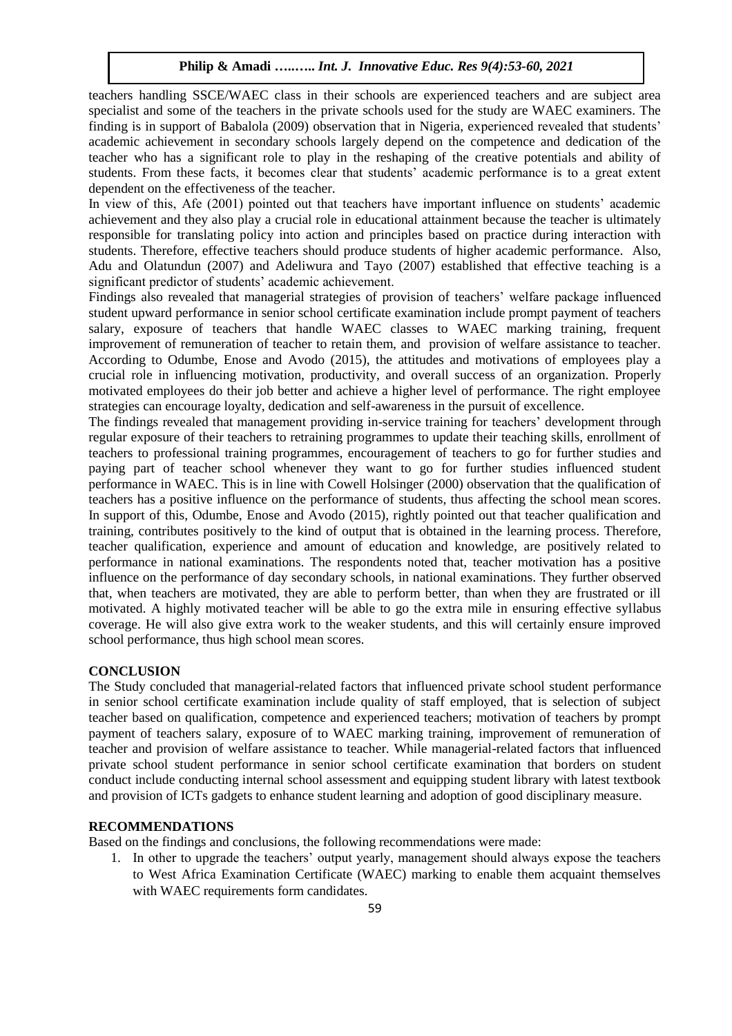teachers handling SSCE/WAEC class in their schools are experienced teachers and are subject area specialist and some of the teachers in the private schools used for the study are WAEC examiners. The finding is in support of Babalola (2009) observation that in Nigeria, experienced revealed that students' academic achievement in secondary schools largely depend on the competence and dedication of the teacher who has a significant role to play in the reshaping of the creative potentials and ability of students. From these facts, it becomes clear that students' academic performance is to a great extent dependent on the effectiveness of the teacher.

In view of this, Afe (2001) pointed out that teachers have important influence on students' academic achievement and they also play a crucial role in educational attainment because the teacher is ultimately responsible for translating policy into action and principles based on practice during interaction with students. Therefore, effective teachers should produce students of higher academic performance. Also, Adu and Olatundun (2007) and Adeliwura and Tayo (2007) established that effective teaching is a significant predictor of students' academic achievement.

Findings also revealed that managerial strategies of provision of teachers' welfare package influenced student upward performance in senior school certificate examination include prompt payment of teachers salary, exposure of teachers that handle WAEC classes to WAEC marking training, frequent improvement of remuneration of teacher to retain them, and provision of welfare assistance to teacher. According to Odumbe, Enose and Avodo (2015), the attitudes and motivations of employees play a crucial role in influencing motivation, productivity, and overall success of an organization. Properly motivated employees do their job better and achieve a higher level of performance. The right employee strategies can encourage loyalty, dedication and self-awareness in the pursuit of excellence.

The findings revealed that management providing in-service training for teachers' development through regular exposure of their teachers to retraining programmes to update their teaching skills, enrollment of teachers to professional training programmes, encouragement of teachers to go for further studies and paying part of teacher school whenever they want to go for further studies influenced student performance in WAEC. This is in line with Cowell Holsinger (2000) observation that the qualification of teachers has a positive influence on the performance of students, thus affecting the school mean scores. In support of this, Odumbe, Enose and Avodo (2015), rightly pointed out that teacher qualification and training, contributes positively to the kind of output that is obtained in the learning process. Therefore, teacher qualification, experience and amount of education and knowledge, are positively related to performance in national examinations. The respondents noted that, teacher motivation has a positive influence on the performance of day secondary schools, in national examinations. They further observed that, when teachers are motivated, they are able to perform better, than when they are frustrated or ill motivated. A highly motivated teacher will be able to go the extra mile in ensuring effective syllabus coverage. He will also give extra work to the weaker students, and this will certainly ensure improved school performance, thus high school mean scores.

## **CONCLUSION**

The Study concluded that managerial-related factors that influenced private school student performance in senior school certificate examination include quality of staff employed, that is selection of subject teacher based on qualification, competence and experienced teachers; motivation of teachers by prompt payment of teachers salary, exposure of to WAEC marking training, improvement of remuneration of teacher and provision of welfare assistance to teacher. While managerial-related factors that influenced private school student performance in senior school certificate examination that borders on student conduct include conducting internal school assessment and equipping student library with latest textbook and provision of ICTs gadgets to enhance student learning and adoption of good disciplinary measure.

## **RECOMMENDATIONS**

Based on the findings and conclusions, the following recommendations were made:

1. In other to upgrade the teachers' output yearly, management should always expose the teachers to West Africa Examination Certificate (WAEC) marking to enable them acquaint themselves with WAEC requirements form candidates.